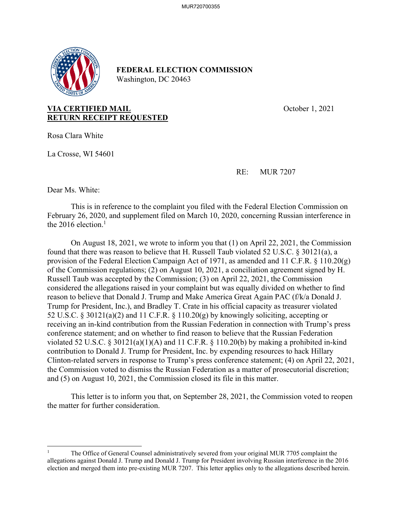

## **FEDERAL ELECTION COMMISSION**  Washington, DC 20463

**VIA CERTIFIED MAIL CONSUMING CONSUMING CONSUMING CONSUMING CONSUMING CONSUMING CONSUMING CONSUMING CONSUMING CONSUMING CONSUMING CONSUMING CONSUMING CONSUMING CONSUMING CONSUMING CONSUMING CONSUMING CONSUMING CONSUMING RETURN RECEIPT REQUESTED** 

Rosa Clara White

La Crosse, WI 54601

RE: MUR 7207

Dear Ms. White:

 This is in reference to the complaint you filed with the Federal Election Commission on February 26, 2020, and supplement filed on March 10, 2020, concerning Russian interference in the 2016 election. $<sup>1</sup>$ </sup>

 On August 18, 2021, we wrote to inform you that (1) on April 22, 2021, the Commission found that there was reason to believe that H. Russell Taub violated 52 U.S.C. § 30121(a), a provision of the Federal Election Campaign Act of 1971, as amended and 11 C.F.R. § 110.20(g) of the Commission regulations; (2) on August 10, 2021, a conciliation agreement signed by H. Russell Taub was accepted by the Commission; (3) on April 22, 2021, the Commission considered the allegations raised in your complaint but was equally divided on whether to find reason to believe that Donald J. Trump and Make America Great Again PAC (f/k/a Donald J. Trump for President, Inc.), and Bradley T. Crate in his official capacity as treasurer violated 52 U.S.C. § 30121(a)(2) and 11 C.F.R. § 110.20(g) by knowingly soliciting, accepting or receiving an in-kind contribution from the Russian Federation in connection with Trump's press conference statement; and on whether to find reason to believe that the Russian Federation violated 52 U.S.C. § 30121(a)(1)(A) and 11 C.F.R. § 110.20(b) by making a prohibited in-kind contribution to Donald J. Trump for President, Inc. by expending resources to hack Hillary Clinton-related servers in response to Trump's press conference statement; (4) on April 22, 2021, the Commission voted to dismiss the Russian Federation as a matter of prosecutorial discretion; and (5) on August 10, 2021, the Commission closed its file in this matter.

 This letter is to inform you that, on September 28, 2021, the Commission voted to reopen the matter for further consideration.

<sup>1</sup> The Office of General Counsel administratively severed from your original MUR 7705 complaint the allegations against Donald J. Trump and Donald J. Trump for President involving Russian interference in the 2016 election and merged them into pre-existing MUR 7207. This letter applies only to the allegations described herein.